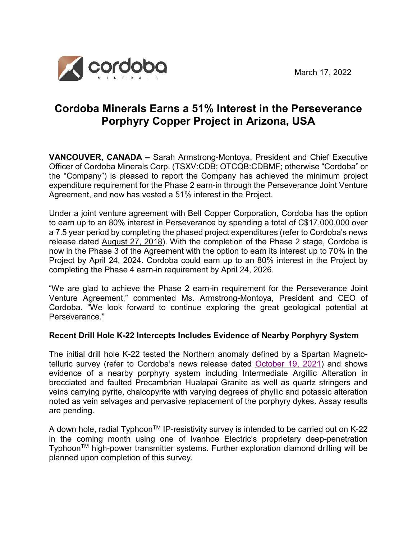

# **Cordoba Minerals Earns a 51% Interest in the Perseverance Porphyry Copper Project in Arizona, USA**

**VANCOUVER, CANADA –** Sarah Armstrong-Montoya, President and Chief Executive Officer of Cordoba Minerals Corp. (TSXV:CDB; OTCQB:CDBMF; otherwise "Cordoba" or the "Company") is pleased to report the Company has achieved the minimum project expenditure requirement for the Phase 2 earn-in through the Perseverance Joint Venture Agreement, and now has vested a 51% interest in the Project.

Under a joint venture agreement with Bell Copper Corporation, Cordoba has the option to earn up to an 80% interest in Perseverance by spending a total of C\$17,000,000 over a 7.5 year period by completing the phased project expenditures (refer to Cordoba's news release dated [August](https://www.cordobaminerals.com/news/2018/cordoba-minerals-to-drill-a-copper-porphyry-target) 27, 2018). With the completion of the Phase 2 stage, Cordoba is now in the Phase 3 of the Agreement with the option to earn its interest up to 70% in the Project by April 24, 2024. Cordoba could earn up to an 80% interest in the Project by completing the Phase 4 earn-in requirement by April 24, 2026.

"We are glad to achieve the Phase 2 earn-in requirement for the Perseverance Joint Venture Agreement," commented Ms. Armstrong-Montoya, President and CEO of Cordoba. "We look forward to continue exploring the great geological potential at Perseverance."

## **Recent Drill Hole K-22 Intercepts Includes Evidence of Nearby Porphyry System**

The initial drill hole K-22 tested the Northern anomaly defined by a Spartan Magnetotelluric survey (refer to Cordoba's news release dated [October](https://www.cordobaminerals.com/news/2021/cordoba-minerals-commences-diamond-drilling-at-perseverance-porphyry-copper-project-in-arizona-usa) 19, 2021) and shows evidence of a nearby porphyry system including Intermediate Argillic Alteration in brecciated and faulted Precambrian Hualapai Granite as well as quartz stringers and veins carrying pyrite, chalcopyrite with varying degrees of phyllic and potassic alteration noted as vein selvages and pervasive replacement of the porphyry dykes. Assay results are pending.

A down hole, radial Typhoon<sup>TM</sup> IP-resistivity survey is intended to be carried out on K-22 in the coming month using one of Ivanhoe Electric's proprietary deep-penetration Typhoon™ high-power transmitter systems. Further exploration diamond drilling will be planned upon completion of this survey.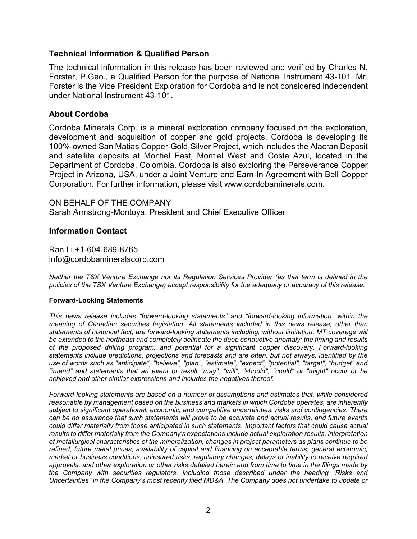### **Technical Information & Qualified Person**

The technical information in this release has been reviewed and verified by Charles N. Forster, P.Geo., a Qualified Person for the purpose of National Instrument 43-101. Mr. Forster is the Vice President Exploration for Cordoba and is not considered independent under National Instrument 43-101.

#### **About Cordoba**

Cordoba Minerals Corp. is a mineral exploration company focused on the exploration, development and acquisition of copper and gold projects. Cordoba is developing its 100%-owned San Matias Copper-Gold-Silver Project, which includes the Alacran Deposit and satellite deposits at Montiel East, Montiel West and Costa Azul, located in the Department of Cordoba, Colombia. Cordoba is also exploring the Perseverance Copper Project in Arizona, USA, under a Joint Venture and Earn-In Agreement with Bell Copper Corporation. For further information, please visit [www.cordobaminerals.com.](http://www.cordobaminerals.com/)

ON BEHALF OF THE COMPANY Sarah Armstrong-Montoya, President and Chief Executive Officer

#### **Information Contact**

Ran Li +1-604-689-8765 info@cordobamineralscorp.com

*Neither the TSX Venture Exchange nor its Regulation Services Provider (as that term is defined in the policies of the TSX Venture Exchange) accept responsibility for the adequacy or accuracy of this release.*

#### **Forward-Looking Statements**

*This news release includes "forward-looking statements" and "forward-looking information" within the meaning of Canadian securities legislation. All statements included in this news release, other than statements of historical fact, are forward-looking statements including, without limitation, MT coverage will be extended to the northeast and completely delineate the deep conductive anomaly; the timing and results of the proposed drilling program; and potential for a significant copper discovery. Forward-looking statements include predictions, projections and forecasts and are often, but not always, identified by the use of words such as "anticipate", "believe", "plan", "estimate", "expect", "potential", "target", "budget" and "intend" and statements that an event or result "may", "will", "should", "could" or "might" occur or be achieved and other similar expressions and includes the negatives thereof.*

*Forward-looking statements are based on a number of assumptions and estimates that, while considered reasonable by management based on the business and markets in which Cordoba operates, are inherently subject to significant operational, economic, and competitive uncertainties, risks and contingencies. There* can be no assurance that such statements will prove to be accurate and actual results, and future events *could differ materially from those anticipated in such statements. Important factors that could cause actual results to differ materially from the Company's expectations include actual exploration results, interpretation of metallurgical characteristics of the mineralization, changes in project parameters as plans continue to be refined, future metal prices, availability of capital and financing on acceptable terms, general economic, market or business conditions, uninsured risks, regulatory changes, delays or inability to receive required* approvals, and other exploration or other risks detailed herein and from time to time in the filings made by *the Company with securities regulators, including those described under the heading "Risks and Uncertainties" in the Company's most recently filed MD&A. The Company does not undertake to update or*